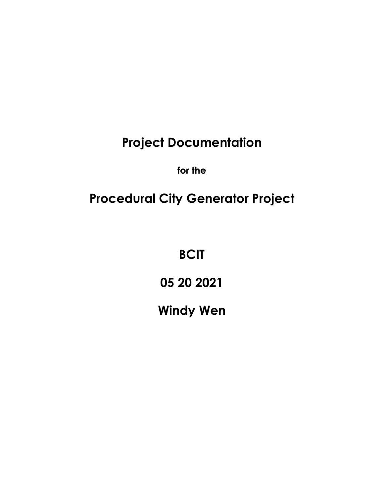**Project Documentation**

**for the** 

# **Procedural City Generator Project**

**BCIT**

**05 20 2021**

**Windy Wen**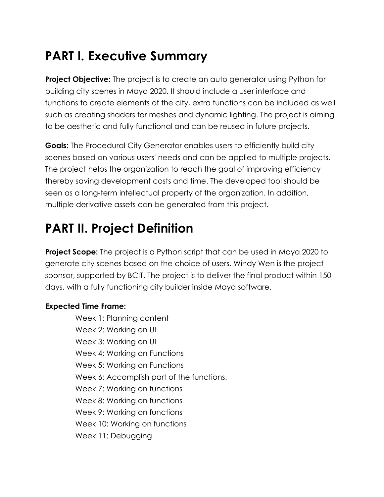## **PART I. Executive Summary**

**Project Objective:** The project is to create an auto generator using Python for building city scenes in Maya 2020. It should include a user interface and functions to create elements of the city, extra functions can be included as well such as creating shaders for meshes and dynamic lighting. The project is aiming to be aesthetic and fully functional and can be reused in future projects.

**Goals:** The Procedural City Generator enables users to efficiently build city scenes based on various users' needs and can be applied to multiple projects. The project helps the organization to reach the goal of improving efficiency thereby saving development costs and time. The developed tool should be seen as a long-term intellectual property of the organization. In addition, multiple derivative assets can be generated from this project.

## **PART II. Project Definition**

**Project Scope:** The project is a Python script that can be used in Maya 2020 to generate city scenes based on the choice of users. Windy Wen is the project sponsor, supported by BCIT. The project is to deliver the final product within 150 days, with a fully functioning city builder inside Maya software.

#### **Expected Time Frame:**

Week 1: Planning content Week 2: Working on UI Week 3: Working on UI Week 4: Working on Functions Week 5: Working on Functions Week 6: Accomplish part of the functions. Week 7: Working on functions Week 8: Working on functions Week 9: Working on functions Week 10: Working on functions Week 11: Debugging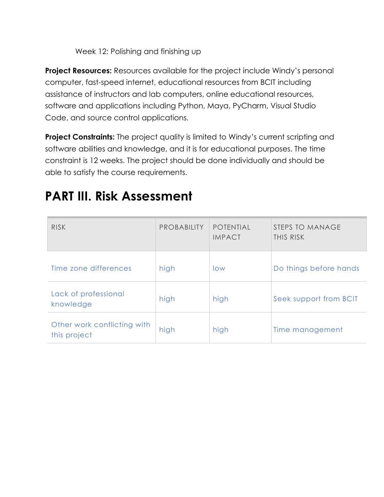Week 12: Polishing and finishing up

**Project Resources:** Resources available for the project include Windy's personal computer, fast-speed internet, educational resources from BCIT including assistance of instructors and lab computers, online educational resources, software and applications including Python, Maya, PyCharm, Visual Studio Code, and source control applications.

**Project Constraints:** The project quality is limited to Windy's current scripting and software abilities and knowledge, and it is for educational purposes. The time constraint is 12 weeks. The project should be done individually and should be able to satisfy the course requirements.

### **PART III. Risk Assessment**

| <b>RISK</b>                                 | <b>PROBABILITY</b> | <b>POTENTIAL</b><br><b>IMPACT</b> | STEPS TO MANAGE<br>THIS RISK |
|---------------------------------------------|--------------------|-----------------------------------|------------------------------|
| Time zone differences                       | high               | low                               | Do things before hands       |
| Lack of professional<br>knowledge           | high               | high                              | Seek support from BCIT       |
| Other work conflicting with<br>this project | high               | high                              | Time management              |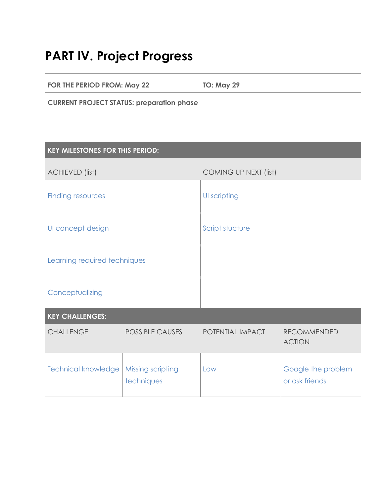#### **PART IV. Project Progress**

**FOR THE PERIOD FROM: May 22 TO: May 29**

**CURRENT PROJECT STATUS: preparation phase**

| <b>KEY MILESTONES FOR THIS PERIOD:</b> |                                 |                       |                                      |
|----------------------------------------|---------------------------------|-----------------------|--------------------------------------|
| <b>ACHIEVED (list)</b>                 |                                 | COMING UP NEXT (list) |                                      |
| <b>Finding resources</b>               |                                 | UI scripting          |                                      |
| UI concept design                      |                                 | Script stucture       |                                      |
| Learning required techniques           |                                 |                       |                                      |
| Conceptualizing                        |                                 |                       |                                      |
| <b>KEY CHALLENGES:</b>                 |                                 |                       |                                      |
| <b>CHALLENGE</b>                       | <b>POSSIBLE CAUSES</b>          | POTENTIAL IMPACT      | <b>RECOMMENDED</b><br><b>ACTION</b>  |
| <b>Technical knowledge</b>             | Missing scripting<br>techniques | Low                   | Google the problem<br>or ask friends |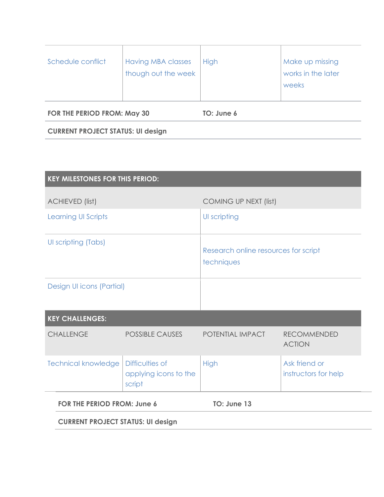| Schedule conflict | <b>Having MBA classes</b><br>though out the week | High | Make up missing<br>works in the later<br>weeks |
|-------------------|--------------------------------------------------|------|------------------------------------------------|
|                   |                                                  |      |                                                |

**FOR THE PERIOD FROM: May 30 TO: June 6**

**CURRENT PROJECT STATUS: UI design**

| <b>KEY MILESTONES FOR THIS PERIOD:</b>   |                                                    |                                                    |                                       |
|------------------------------------------|----------------------------------------------------|----------------------------------------------------|---------------------------------------|
| <b>ACHIEVED (list)</b>                   |                                                    | <b>COMING UP NEXT (list)</b>                       |                                       |
| <b>Learning UI Scripts</b>               |                                                    | UI scripting                                       |                                       |
| UI scripting (Tabs)                      |                                                    | Research online resources for script<br>techniques |                                       |
| Design UI icons (Partial)                |                                                    |                                                    |                                       |
| <b>KEY CHALLENGES:</b>                   |                                                    |                                                    |                                       |
| <b>CHALLENGE</b>                         | <b>POSSIBLE CAUSES</b>                             | POTENTIAL IMPACT                                   | <b>RECOMMENDED</b><br><b>ACTION</b>   |
| <b>Technical knowledge</b>               | Difficulties of<br>applying icons to the<br>script | <b>High</b>                                        | Ask friend or<br>instructors for help |
| <b>FOR THE PERIOD FROM: June 6</b>       |                                                    | TO: June 13                                        |                                       |
| <b>CURRENT PROJECT STATUS: UI design</b> |                                                    |                                                    |                                       |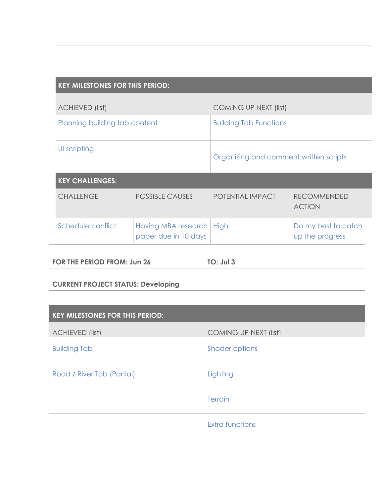| <b>KEY MILESTONES FOR THIS PERIOD:</b> |                                             |                                        |                                        |
|----------------------------------------|---------------------------------------------|----------------------------------------|----------------------------------------|
| <b>ACHIEVED (list)</b>                 |                                             | COMING UP NEXT (list)                  |                                        |
| Planning building tab content          |                                             | <b>Building Tab Functions</b>          |                                        |
| UI scripting                           |                                             | Organizing and comment written scripts |                                        |
| <b>KEY CHALLENGES:</b>                 |                                             |                                        |                                        |
| <b>CHALLENGE</b>                       | <b>POSSIBLE CAUSES</b>                      | POTENTIAL IMPACT                       | <b>RECOMMENDED</b><br><b>ACTION</b>    |
| Schedule conflict                      | Having MBA research<br>paper due in 10 days | <b>High</b>                            | Do my best to catch<br>up the progress |
|                                        |                                             |                                        |                                        |

**FOR THE PERIOD FROM: Jun 26 TO: Jul 3**

#### **CURRENT PROJECT STATUS: Developing**

| <b>KEY MILESTONES FOR THIS PERIOD:</b> |                              |  |
|----------------------------------------|------------------------------|--|
| <b>ACHIEVED (list)</b>                 | <b>COMING UP NEXT (list)</b> |  |
| <b>Building Tab</b>                    | <b>Shader options</b>        |  |
| Road / River Tab (Partial)             | Lighting                     |  |
|                                        | Terrain                      |  |
|                                        | <b>Extra functions</b>       |  |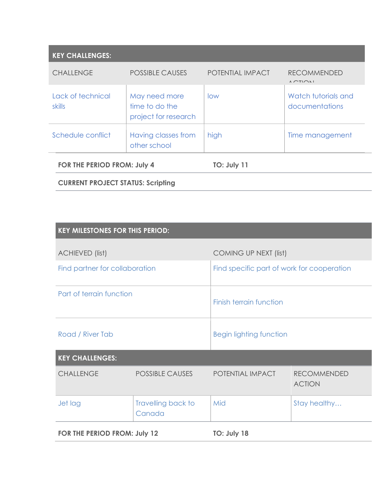| <b>KEY CHALLENGES:</b>      |                                                         |                    |                                                              |
|-----------------------------|---------------------------------------------------------|--------------------|--------------------------------------------------------------|
| <b>CHALLENGE</b>            | <b>POSSIBLE CAUSES</b>                                  | POTENTIAL IMPACT   | <b>RECOMMENDED</b><br>$\Lambda$ $\cap$ TI $\cap$ $\Lambda$ I |
| Lack of technical<br>skills | May need more<br>time to do the<br>project for research | low                | Watch tutorials and<br>documentations                        |
| Schedule conflict           | Having classes from<br>other school                     | high               | Time management                                              |
| FOR THE PERIOD FROM: July 4 |                                                         | <b>TO: July 11</b> |                                                              |

**CURRENT PROJECT STATUS: Scripting**

| <b>KEY MILESTONES FOR THIS PERIOD:</b> |                              |                                            |                                     |
|----------------------------------------|------------------------------|--------------------------------------------|-------------------------------------|
| <b>ACHIEVED (list)</b>                 |                              | <b>COMING UP NEXT (list)</b>               |                                     |
| Find partner for collaboration         |                              | Find specific part of work for cooperation |                                     |
| Part of terrain function               |                              | Finish terrain function                    |                                     |
| Road / River Tab                       |                              | <b>Begin lighting function</b>             |                                     |
| <b>KEY CHALLENGES:</b>                 |                              |                                            |                                     |
| <b>CHALLENGE</b>                       | <b>POSSIBLE CAUSES</b>       | POTENTIAL IMPACT                           | <b>RECOMMENDED</b><br><b>ACTION</b> |
| Jet lag                                | Travelling back to<br>Canada | Mid                                        | Stay healthy                        |
| <b>FOR THE PERIOD FROM: July 12</b>    |                              | TO: July 18                                |                                     |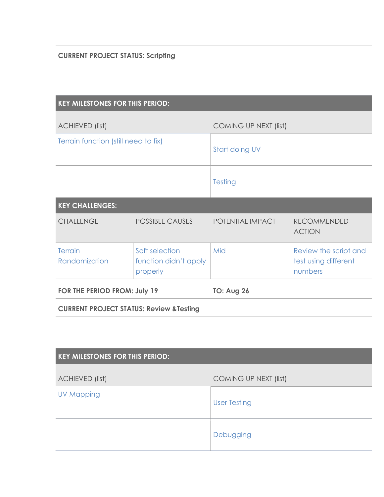| <b>KEY MILESTONES FOR THIS PERIOD:</b>              |                                                     |                       |                                                          |
|-----------------------------------------------------|-----------------------------------------------------|-----------------------|----------------------------------------------------------|
| <b>ACHIEVED (list)</b>                              |                                                     | COMING UP NEXT (list) |                                                          |
| Terrain function (still need to fix)                |                                                     | Start doing UV        |                                                          |
|                                                     |                                                     | <b>Testing</b>        |                                                          |
| <b>KEY CHALLENGES:</b>                              |                                                     |                       |                                                          |
| <b>CHALLENGE</b>                                    | <b>POSSIBLE CAUSES</b>                              | POTENTIAL IMPACT      | <b>RECOMMENDED</b><br><b>ACTION</b>                      |
| <b>Terrain</b><br>Randomization                     | Soft selection<br>function didn't apply<br>properly | Mid                   | Review the script and<br>test using different<br>numbers |
| FOR THE PERIOD FROM: July 19                        |                                                     | <b>TO: Aug 26</b>     |                                                          |
| <b>CURRENT PROJECT STATUS: Review &amp; Testing</b> |                                                     |                       |                                                          |
|                                                     |                                                     |                       |                                                          |

| <b>KEY MILESTONES FOR THIS PERIOD:</b> |                       |
|----------------------------------------|-----------------------|
| <b>ACHIEVED (list)</b>                 | COMING UP NEXT (list) |
| <b>UV Mapping</b>                      | <b>User Testing</b>   |
|                                        | Debugging             |